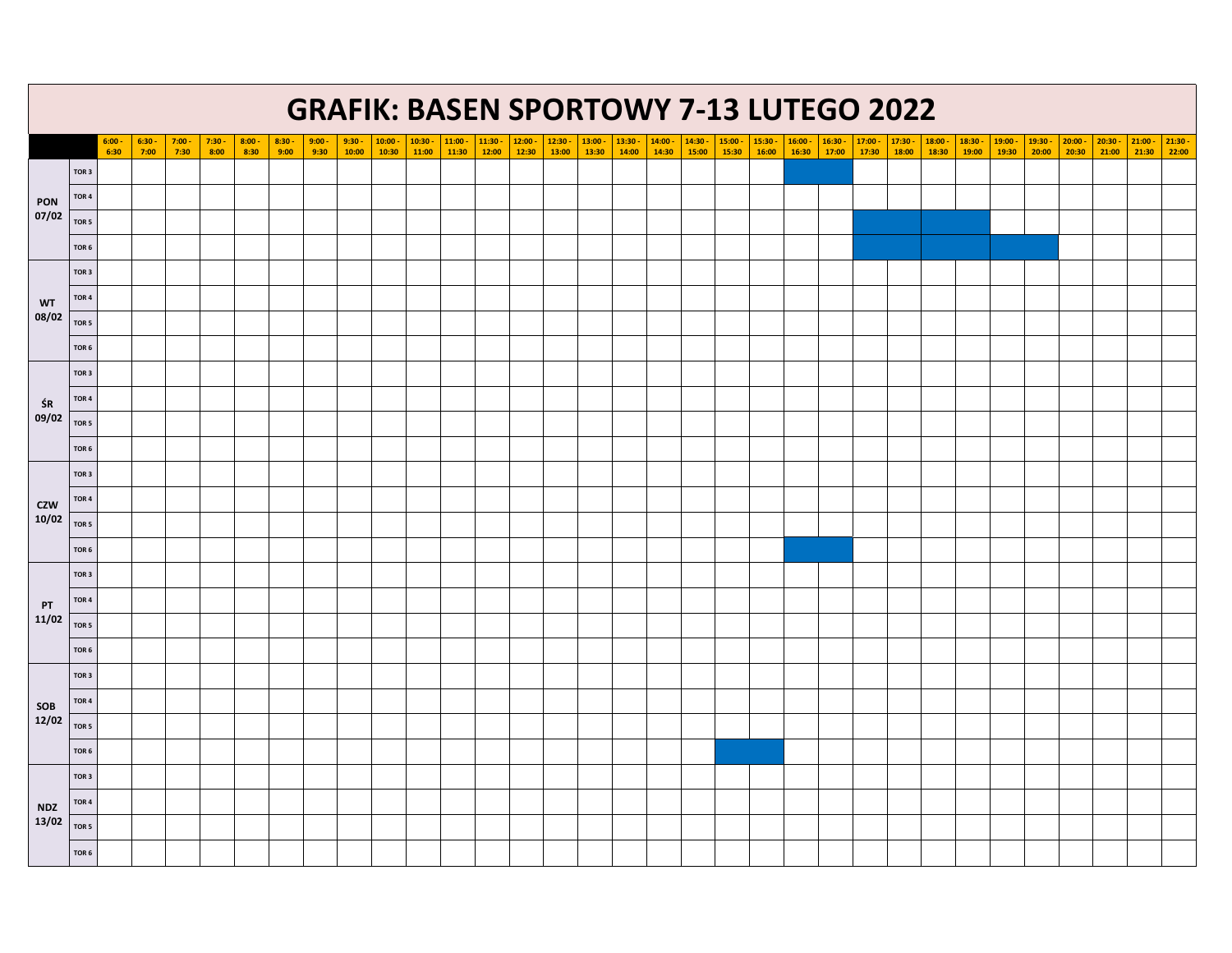